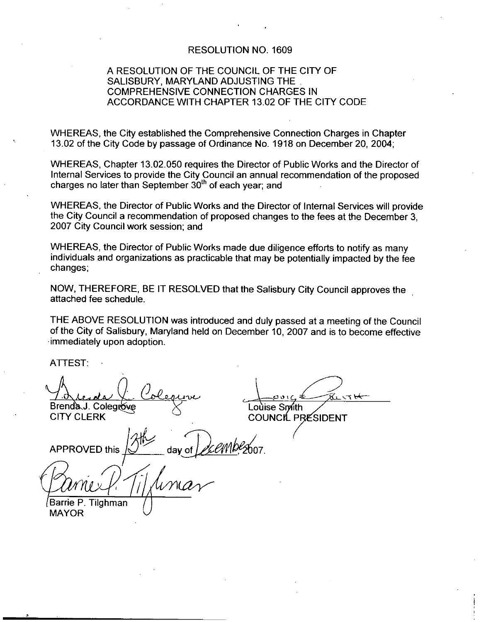## RESOLUTION NO. 1609

## A RESOLUTION OF THE COUNCIL OF THE CITY OF SALISBURY, MARYLAND ADJUSTING THE COMPREHENSIVE CONNECTION CHARGES IN ACCORDANCE WITH CHAPTER 13.02 OF THE CITY CODE

WHEREAS the City established the Comprehensive Connection Charges in Chapter 13.02 of the City Code by passage of Ordinance No. 1918 on December 20, 2004;

WHEREAS, Chapter 13.02.050 requires the Director of Public Works and the Director of Internal Services to provide the City Council an annual recommendation of the proposed charges no later than September  $30<sup>th</sup>$  of each year; and

WHEREAS the Director of Public Works and the Director of Internal Services will provide the City Council <sup>a</sup> recommendation of proposed changes to the fees at the December 3 2007 City Council work session; and

WHEREAS, the Director of Public Works made due diligence efforts to notify as many individuals and organizations as practicable that may be potentially impacted by the fee changes

NOW, THEREFORE, BE IT RESOLVED that the Salisbury City Council approves the attached fee schedule

THE ABOVE RESOLUTION was introduced and duly passed at <sup>a</sup> meeting of the Council of the City of Salisbury, Maryland held on December 10, 2007 and is to become effective immediately upon adoption

ATTEST

Brenda J. Colegrove F:<br>enda<br>J. Colegrove<br>LERK

CITY CLERK

Barrie P. Tilghman

MAYOR

Loùise Smith

COUNCIL PRESIDENT

APPROVED this day of  $\frac{a}{\sqrt{a}}$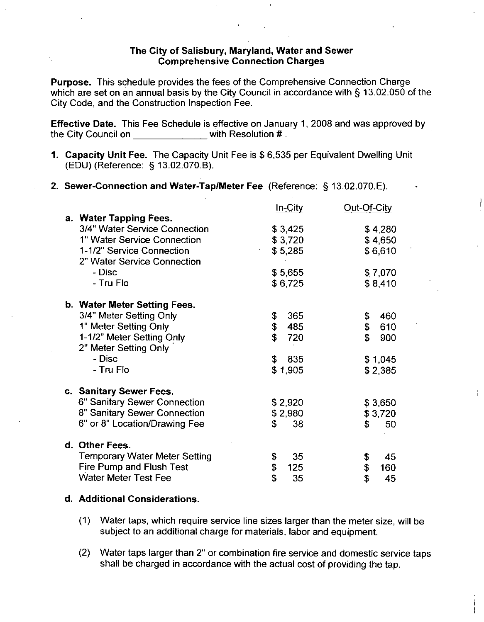## The City of Salisbury, Maryland, Water and Sewer Comprehensive Connection Charges

Purpose. This schedule provides the fees of the Comprehensive Connection Charge which are set on an annual basis by the City Council in accordance with  $\S$  13.02.050 of the City Code, and the Construction Inspection Fee. ch are set on an annual basis by the<br>
y Code, and the Construction Inspect<br>
ective Date. This Fee Schedule is e<br>
City Council on<br>
<u>Capacity Unit Fee.</u> The Capacity U<br>
(EDU) (Reference: § 13.02.070.B).<br>
Sewer-Connection and

Effective Date. This Fee Schedule is effective on January 1, 2008 and was approved by the City Council on with Resolution #.

- Effective Date. This Fee Schedule is effective on January 1, 2008 and was approved<br>
the City Council on \_\_\_\_\_\_\_\_\_\_\_\_\_with Resolution #.<br>
1. Capacity Unit Fee. The Capacity Unit Fee is \$ 6,535 per Equivalent Dwelling Unit<br>
- 2. Sewer-Connection and Water-Tap/Meter Fee (Reference: § 13.02.070.E).

|                                                                                        | In-City            | Out-Of-City        |
|----------------------------------------------------------------------------------------|--------------------|--------------------|
| a. Water Tapping Fees.<br>3/4" Water Service Connection<br>1" Water Service Connection | \$3,425<br>\$3,720 | \$4,280<br>\$4,650 |
| 1-1/2" Service Connection<br>2" Water Service Connection                               | \$5,285            | \$6,610            |
| - Disc<br>- Tru Flo                                                                    | \$5,655<br>\$6,725 | \$7,070<br>\$8,410 |
| b. Water Meter Setting Fees.                                                           |                    |                    |
| 3/4" Meter Setting Only                                                                | 365<br>\$          | 460                |
| 1" Meter Setting Only                                                                  | \$<br>485          | \$<br>\$<br>610    |
| 1-1/2" Meter Setting Only<br>2" Meter Setting Only                                     | \$<br>720          | \$<br>900          |
| - Disc                                                                                 | S<br>835           | \$1,045            |
| - Tru Flo                                                                              | \$1,905            | \$2,385            |
| c. Sanitary Sewer Fees.                                                                |                    |                    |
| 6" Sanitary Sewer Connection                                                           | \$2,920            | \$3,650            |
| 8" Sanitary Sewer Connection                                                           | \$2,980            | \$3,720            |
| 6" or 8" Location/Drawing Fee                                                          | \$<br>38           | \$<br>50           |
| d. Other Fees.                                                                         |                    |                    |
| <b>Temporary Water Meter Setting</b>                                                   | 35<br>\$           | 45<br>\$           |
| <b>Fire Pump and Flush Test</b>                                                        | \$<br>125          | \$<br>160          |
| <b>Water Meter Test Fee</b>                                                            | \$<br>35           | \$<br>45           |

## d. Additional Considerations.

- (1) Water taps, which require service line sizes larger than the meter size, will be subject to an additional charge for materials, labor and equipment.
- (2) Water taps larger than 2" or combination fire service and domestic service taps shall be charged in accordance with the actual cost of providing the tap